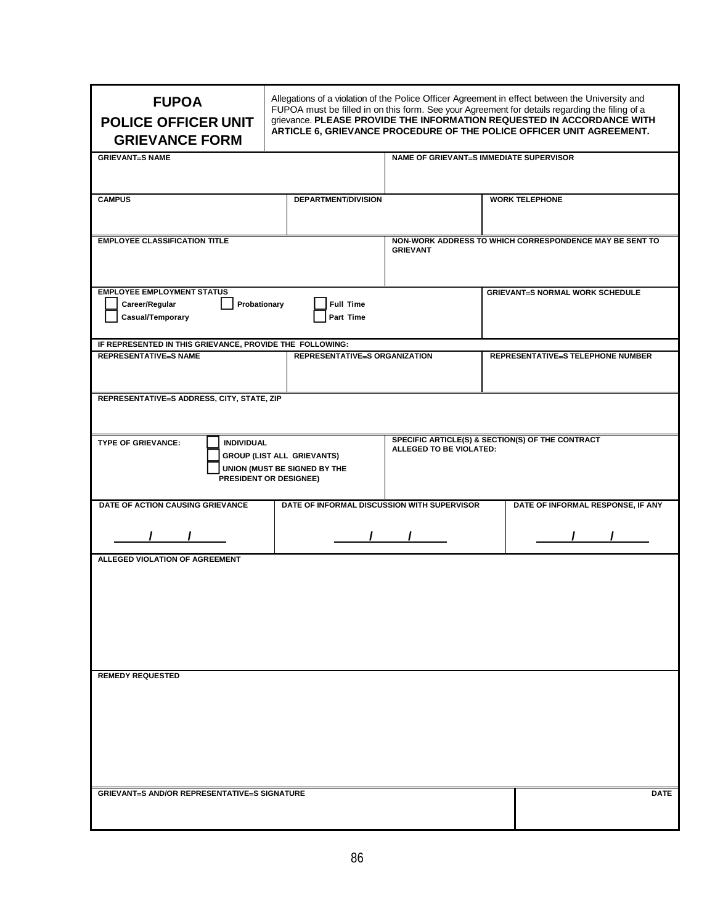| <b>FUPOA</b><br><b>POLICE OFFICER UNIT</b><br><b>GRIEVANCE FORM</b>                      |                                                                                                                  |                                             | Allegations of a violation of the Police Officer Agreement in effect between the University and<br>FUPOA must be filled in on this form. See your Agreement for details regarding the filing of a<br>grievance. PLEASE PROVIDE THE INFORMATION REQUESTED IN ACCORDANCE WITH<br>ARTICLE 6, GRIEVANCE PROCEDURE OF THE POLICE OFFICER UNIT AGREEMENT. |                                                                             |                                                         |  |  |
|------------------------------------------------------------------------------------------|------------------------------------------------------------------------------------------------------------------|---------------------------------------------|-----------------------------------------------------------------------------------------------------------------------------------------------------------------------------------------------------------------------------------------------------------------------------------------------------------------------------------------------------|-----------------------------------------------------------------------------|---------------------------------------------------------|--|--|
| <b>GRIEVANT=S NAME</b>                                                                   |                                                                                                                  |                                             | NAME OF GRIEVANT=S IMMEDIATE SUPERVISOR                                                                                                                                                                                                                                                                                                             |                                                                             |                                                         |  |  |
| <b>CAMPUS</b>                                                                            |                                                                                                                  | DEPARTMENT/DIVISION                         |                                                                                                                                                                                                                                                                                                                                                     |                                                                             | <b>WORK TELEPHONE</b>                                   |  |  |
| <b>EMPLOYEE CLASSIFICATION TITLE</b>                                                     |                                                                                                                  |                                             | <b>GRIEVANT</b>                                                                                                                                                                                                                                                                                                                                     |                                                                             | NON-WORK ADDRESS TO WHICH CORRESPONDENCE MAY BE SENT TO |  |  |
| <b>EMPLOYEE EMPLOYMENT STATUS</b><br>Probationary<br>Career/Regular<br>Casual/Temporary  |                                                                                                                  | <b>Full Time</b><br>Part Time               |                                                                                                                                                                                                                                                                                                                                                     |                                                                             | <b>GRIEVANT-S NORMAL WORK SCHEDULE</b>                  |  |  |
| IF REPRESENTED IN THIS GRIEVANCE, PROVIDE THE FOLLOWING:<br><b>REPRESENTATIVE=S NAME</b> |                                                                                                                  | <b>REPRESENTATIVE=S ORGANIZATION</b>        |                                                                                                                                                                                                                                                                                                                                                     | <b>REPRESENTATIVE=S TELEPHONE NUMBER</b>                                    |                                                         |  |  |
| REPRESENTATIVE=S ADDRESS, CITY, STATE, ZIP                                               |                                                                                                                  |                                             |                                                                                                                                                                                                                                                                                                                                                     |                                                                             |                                                         |  |  |
| <b>TYPE OF GRIEVANCE:</b>                                                                | <b>INDIVIDUAL</b><br><b>GROUP (LIST ALL GRIEVANTS)</b><br>UNION (MUST BE SIGNED BY THE<br>PRESIDENT OR DESIGNEE) |                                             |                                                                                                                                                                                                                                                                                                                                                     | SPECIFIC ARTICLE(S) & SECTION(S) OF THE CONTRACT<br>ALLEGED TO BE VIOLATED: |                                                         |  |  |
| DATE OF ACTION CAUSING GRIEVANCE                                                         |                                                                                                                  | DATE OF INFORMAL DISCUSSION WITH SUPERVISOR | $\sqrt{1}$                                                                                                                                                                                                                                                                                                                                          |                                                                             | DATE OF INFORMAL RESPONSE, IF ANY<br>$\mathcal{L}$      |  |  |
| <b>ALLEGED VIOLATION OF AGREEMENT</b><br><b>REMEDY REQUESTED</b>                         |                                                                                                                  |                                             |                                                                                                                                                                                                                                                                                                                                                     |                                                                             |                                                         |  |  |
|                                                                                          |                                                                                                                  |                                             |                                                                                                                                                                                                                                                                                                                                                     |                                                                             |                                                         |  |  |
| <b>GRIEVANT=S AND/OR REPRESENTATIVE=S SIGNATURE</b>                                      |                                                                                                                  |                                             |                                                                                                                                                                                                                                                                                                                                                     |                                                                             | <b>DATE</b>                                             |  |  |